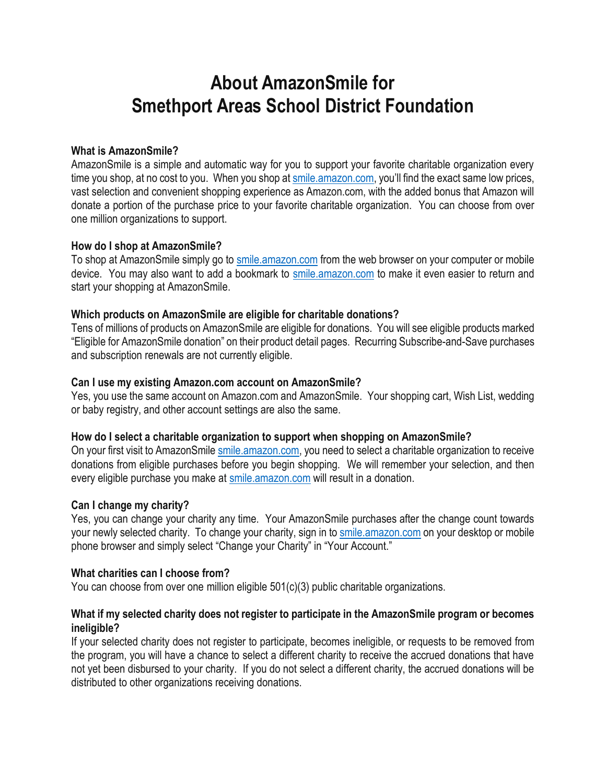# **About AmazonSmile for Smethport Areas School District Foundation**

# **What is AmazonSmile?**

AmazonSmile is a simple and automatic way for you to support your favorite charitable organization every time you shop, at no cost to you. When you shop at smile amazon.com, you'll find the exact same low prices, vast selection and convenient shopping experience as Amazon.com, with the added bonus that Amazon will donate a portion of the purchase price to your favorite charitable organization. You can choose from over one million organizations to support.

## **How do I shop at AmazonSmile?**

To shop at AmazonSmile simply go to [smile.amazon.com](https://smile.amazon.com/ref=smi_se_saas_lsmi_smi) from the web browser on your computer or mobile device. You may also want to add a bookmark to [smile.amazon.com](https://smile.amazon.com/ref=smi_se_saas_lsmi_smi) to make it even easier to return and start your shopping at AmazonSmile.

# **Which products on AmazonSmile are eligible for charitable donations?**

Tens of millions of products on AmazonSmile are eligible for donations. You will see eligible products marked "Eligible for AmazonSmile donation" on their product detail pages. Recurring Subscribe-and-Save purchases and subscription renewals are not currently eligible.

# **Can I use my existing Amazon.com account on AmazonSmile?**

Yes, you use the same account on Amazon.com and AmazonSmile. Your shopping cart, Wish List, wedding or baby registry, and other account settings are also the same.

## **How do I select a charitable organization to support when shopping on AmazonSmile?**

On your first visit to AmazonSmile [smile.amazon.com,](https://smile.amazon.com/ref=smi_se_saas_lsmi_smi) you need to select a charitable organization to receive donations from eligible purchases before you begin shopping. We will remember your selection, and then every eligible purchase you make at [smile.amazon.com](https://smile.amazon.com/ref=smi_se_saas_lsmi_smi) will result in a donation.

## **Can I change my charity?**

Yes, you can change your charity any time. Your AmazonSmile purchases after the change count towards your newly selected charity. To change your charity, sign in to [smile.amazon.com](https://smile.amazon.com/ref=smi_se_saas_lsmi_smi) on your desktop or mobile phone browser and simply select "Change your Charity" in "Your Account."

# **What charities can I choose from?**

You can choose from over one million eligible 501(c)(3) public charitable organizations.

# **What if my selected charity does not register to participate in the AmazonSmile program or becomes ineligible?**

If your selected charity does not register to participate, becomes ineligible, or requests to be removed from the program, you will have a chance to select a different charity to receive the accrued donations that have not yet been disbursed to your charity. If you do not select a different charity, the accrued donations will be distributed to other organizations receiving donations.